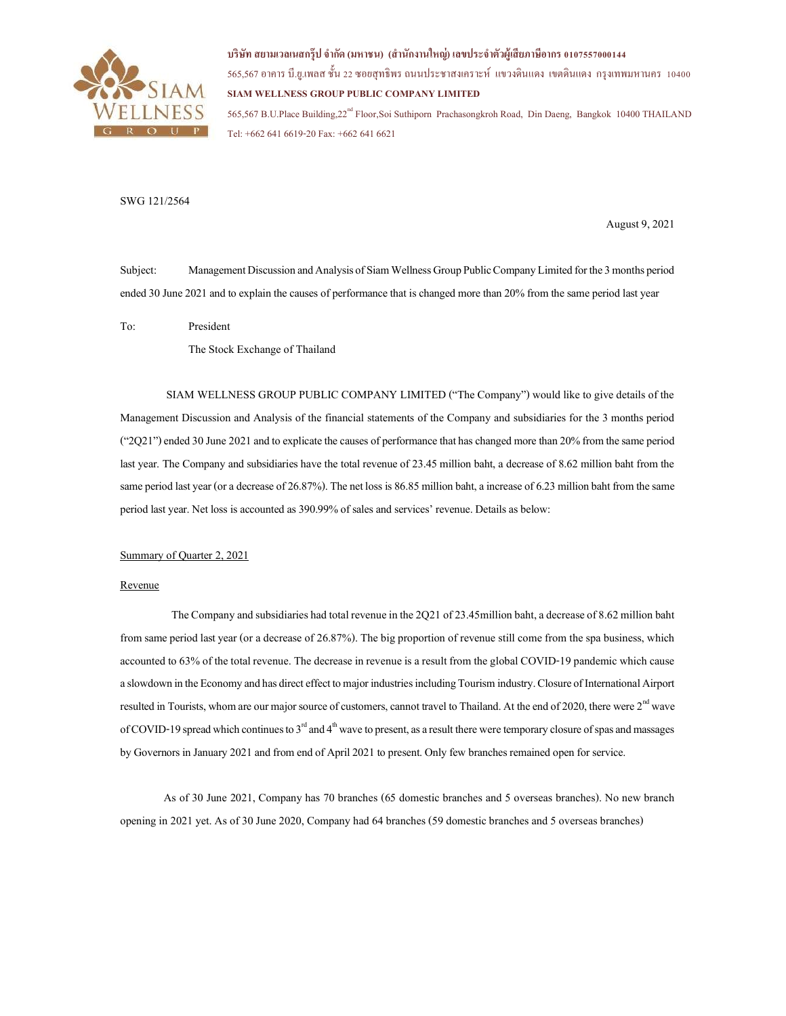

# บริษัท สยามเวลเนสกรุ๊ป จำกัด (มหาชน) (สำนักงานใหญ่) เลขประจำตัวผู้เสียภาษีอากร 0107557000144

565,567 อาคาร บี.ย.เพลส ชั้น 22 ซอยสุทธิพร ถนนประชาสงเคราะห์ แขวงดินแดง เขตดินแดง กรุงเทพมหานคร 10400 SIAM WELLNESS GROUP PUBLIC COMPANY LIMITED 565,567 B.U.Place Building,22nd Floor,Soi Suthiporn Prachasongkroh Road, Din Daeng, Bangkok 10400 THAILAND Tel: +662 641 6619-20 Fax: +662 641 6621

## SWG 121/2564

August 9, 2021

Subject: Management Discussion and Analysis of Siam Wellness Group Public Company Limited for the 3 months period ended 30 June 2021 and to explain the causes of performance that is changed more than 20% from the same period last year

To: President

The Stock Exchange of Thailand

 SIAM WELLNESS GROUP PUBLIC COMPANY LIMITED ("The Company") would like to give details of the Management Discussion and Analysis of the financial statements of the Company and subsidiaries for the 3 months period ("2Q21") ended 30 June 2021 and to explicate the causes of performance that has changed more than 20% from the same period last year. The Company and subsidiaries have the total revenue of 23.45 million baht, a decrease of 8.62 million baht from the same period last year (or a decrease of 26.87%). The net loss is 86.85 million baht, a increase of 6.23 million baht from the same period last year. Net loss is accounted as 390.99% of sales and services' revenue. Details as below:

## Summary of Quarter 2, 2021

#### Revenue

The Company and subsidiaries had total revenue in the 2Q21 of 23.45million baht, a decrease of 8.62 million baht from same period last year (or a decrease of 26.87%). The big proportion of revenue still come from the spa business, which accounted to 63% of the total revenue. The decrease in revenue is a result from the global COVID-19 pandemic which cause a slowdown in the Economy and has direct effect to major industries including Tourism industry. Closure of International Airport resulted in Tourists, whom are our major source of customers, cannot travel to Thailand. At the end of 2020, there were 2<sup>nd</sup> wave of COVID-19 spread which continues to  $3<sup>rd</sup>$  and  $4<sup>th</sup>$  wave to present, as a result there were temporary closure of spas and massages by Governors in January 2021 and from end of April 2021 to present. Only few branches remained open for service.

As of 30 June 2021, Company has 70 branches (65 domestic branches and 5 overseas branches). No new branch opening in 2021 yet. As of 30 June 2020, Company had 64 branches (59 domestic branches and 5 overseas branches)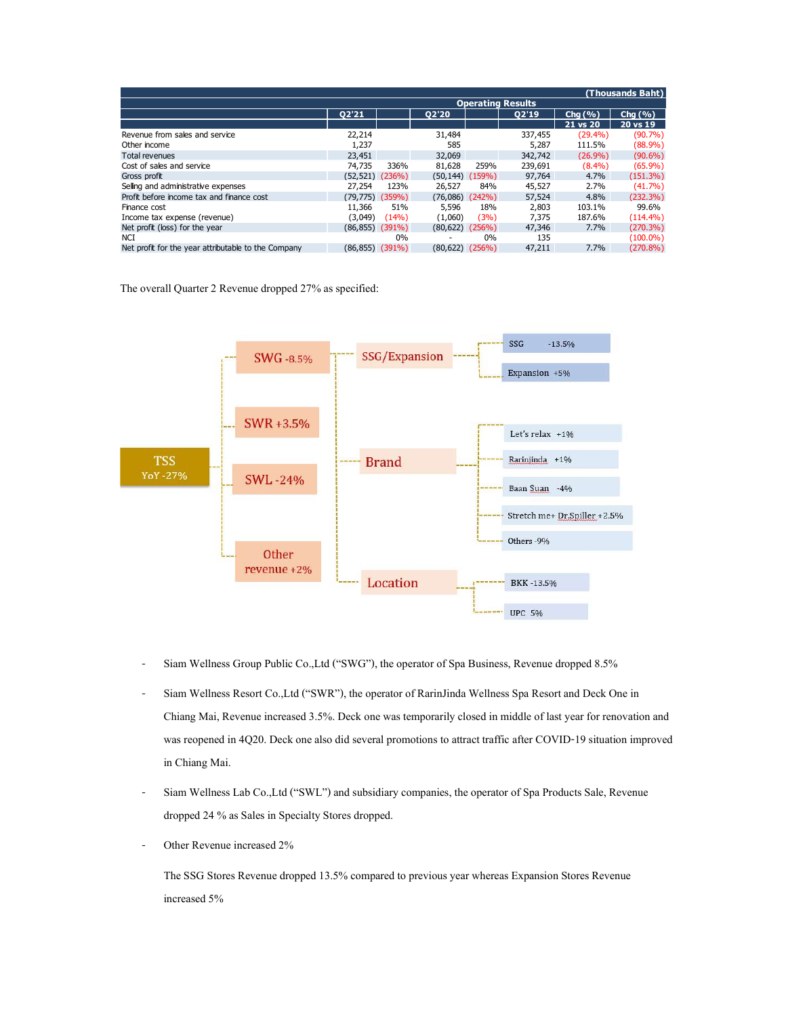|                                                     |                       |       |                      |       | <b>Operating Results</b> |                      | (Thousands Baht)      |
|-----------------------------------------------------|-----------------------|-------|----------------------|-------|--------------------------|----------------------|-----------------------|
|                                                     | Q2'21                 |       | Q2'20                |       | Q2'19                    | Chg $(\% )$          | Chg $(% )$            |
|                                                     |                       |       |                      |       |                          | 21 vs 20             | $20 \text{ vs } 19$   |
| Revenue from sales and service<br>Other income      | 22,214<br>1,237       |       | 31,484<br>585        |       | 337,455<br>5,287         | $(29.4\%)$<br>111.5% | (90.7%)<br>$(88.9\%)$ |
| Total revenues                                      | 23,451                |       | 32,069               |       | 342,742                  | (26.9%)              | $(90.6\%)$            |
| Cost of sales and service                           | 74,735                | 336%  | 81,628               | 259%  | 239,691                  | (8.4%)               | (65.9%)               |
| Gross profit                                        | $(52, 521)$ $(236%)$  |       | $(50, 144)$ $(159%)$ |       | 97,764                   | 4.7%                 | (151.3%)              |
| Selling and administrative expenses                 | 27,254                | 123%  | 26,527               | 84%   | 45,527                   | 2.7%                 | (41.7%                |
| Profit before income tax and finance cost           | $(79, 775)$ $(359%)$  |       | $(76,086)$ $(242%)$  |       | 57,524                   | 4.8%                 | (232.3%)              |
| Finance cost                                        | 11,366                | 51%   | 5,596                | 18%   | 2,803                    | 103.1%               | 99.6%                 |
| Income tax expense (revenue)                        | (3,049)               | (14%) | (1,060)              | (3%)  | 7,375                    | 187.6%               | $(114.4\%)$           |
| Net profit (loss) for the year                      | $(86, 855)$ $(391\%)$ |       | $(80, 622)$ $(256%)$ |       | 47,346                   | 7.7%                 | (270.3%)              |
| <b>NCI</b>                                          |                       | 0%    | $\sim$               | $0\%$ | 135                      |                      | $(100.0\%)$           |
| Net profit for the year attributable to the Company | $(86, 855)$ $(391\%)$ |       | $(80,622)$ $(256%)$  |       | 47,211                   | 7.7%                 | $(270.8\%)$           |



- Siam Wellness Group Public Co.,Ltd ("SWG"), the operator of Spa Business, Revenue dropped 8.5%
- Siam Wellness Resort Co.,Ltd ("SWR"), the operator of RarinJinda Wellness Spa Resort and Deck One in Chiang Mai, Revenue increased 3.5%. Deck one was temporarily closed in middle of last year for renovation and was reopened in 4Q20. Deck one also did several promotions to attract traffic after COVID-19 situation improved in Chiang Mai.
- Siam Wellness Lab Co.,Ltd ("SWL") and subsidiary companies, the operator of Spa Products Sale, Revenue dropped 24 % as Sales in Specialty Stores dropped.
- Other Revenue increased 2%

The SSG Stores Revenue dropped 13.5% compared to previous year whereas Expansion Stores Revenue increased 5%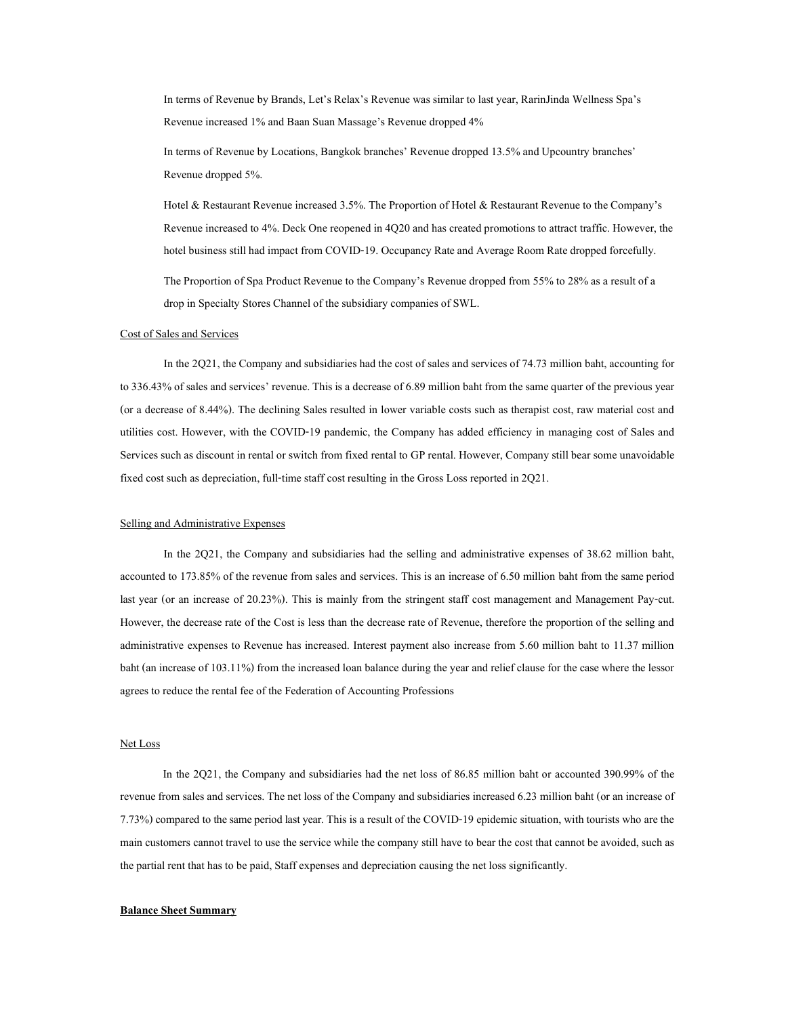In terms of Revenue by Brands, Let's Relax's Revenue was similar to last year, RarinJinda Wellness Spa's Revenue increased 1% and Baan Suan Massage's Revenue dropped 4%

In terms of Revenue by Locations, Bangkok branches' Revenue dropped 13.5% and Upcountry branches' Revenue dropped 5%.

Hotel & Restaurant Revenue increased 3.5%. The Proportion of Hotel & Restaurant Revenue to the Company's Revenue increased to 4%. Deck One reopened in 4Q20 and has created promotions to attract traffic. However, the hotel business still had impact from COVID-19. Occupancy Rate and Average Room Rate dropped forcefully. The Proportion of Spa Product Revenue to the Company's Revenue dropped from 55% to 28% as a result of a

drop in Specialty Stores Channel of the subsidiary companies of SWL.

#### Cost of Sales and Services

In the 2Q21, the Company and subsidiaries had the cost of sales and services of 74.73 million baht, accounting for to 336.43% of sales and services' revenue. This is a decrease of 6.89 million baht from the same quarter of the previous year (or a decrease of 8.44%). The declining Sales resulted in lower variable costs such as therapist cost, raw material cost and utilities cost. However, with the COVID-19 pandemic, the Company has added efficiency in managing cost of Sales and Services such as discount in rental or switch from fixed rental to GP rental. However, Company still bear some unavoidable fixed cost such as depreciation, full-time staff cost resulting in the Gross Loss reported in 2Q21.

#### Selling and Administrative Expenses

 In the 2Q21, the Company and subsidiaries had the selling and administrative expenses of 38.62 million baht, accounted to 173.85% of the revenue from sales and services. This is an increase of 6.50 million baht from the same period last year (or an increase of 20.23%). This is mainly from the stringent staff cost management and Management Pay-cut. However, the decrease rate of the Cost is less than the decrease rate of Revenue, therefore the proportion of the selling and administrative expenses to Revenue has increased. Interest payment also increase from 5.60 million baht to 11.37 million baht (an increase of 103.11%) from the increased loan balance during the year and relief clause for the case where the lessor agrees to reduce the rental fee of the Federation of Accounting Professions

## Net Loss

 In the 2Q21, the Company and subsidiaries had the net loss of 86.85 million baht or accounted 390.99% of the revenue from sales and services. The net loss of the Company and subsidiaries increased 6.23 million baht (or an increase of 7.73%) compared to the same period last year. This is a result of the COVID-19 epidemic situation, with tourists who are the main customers cannot travel to use the service while the company still have to bear the cost that cannot be avoided, such as the partial rent that has to be paid, Staff expenses and depreciation causing the net loss significantly.

#### Balance Sheet Summary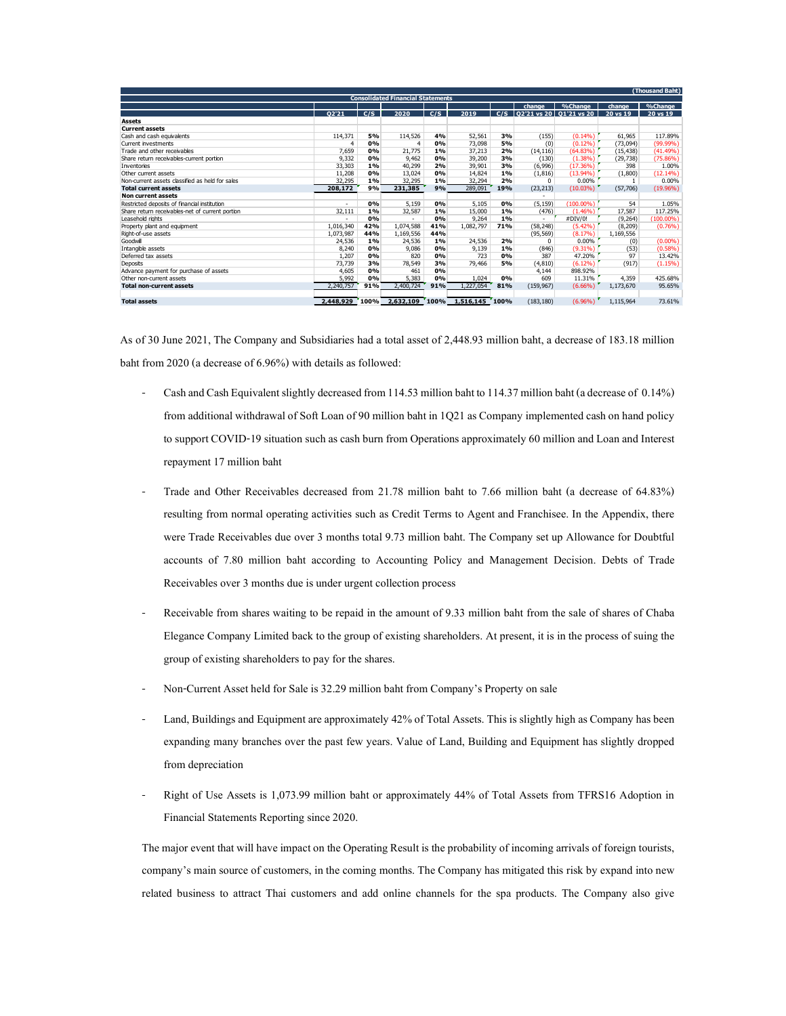|                                                                                                                                                               |                          |           |                                          |             |                    |             |                      |                                              |                           | (Thousand Baht)         |
|---------------------------------------------------------------------------------------------------------------------------------------------------------------|--------------------------|-----------|------------------------------------------|-------------|--------------------|-------------|----------------------|----------------------------------------------|---------------------------|-------------------------|
|                                                                                                                                                               |                          |           | <b>Consolidated Financial Statements</b> |             |                    |             | change               | %Change                                      | change                    | %Change                 |
|                                                                                                                                                               | Q2'21                    | C/S       | 2020                                     | C/S         | 2019               |             |                      | $C/S$   Q2'21 vs 20   Q1'21 vs 20   20 vs 19 |                           | 20 vs 19                |
| <b>Assets</b><br><b>Current assets</b>                                                                                                                        |                          |           |                                          |             |                    |             |                      |                                              |                           |                         |
|                                                                                                                                                               | 114,371                  | 5%        | 114,526                                  | 4%          | 52,561             | 3%          | (155)                | (0.14%)                                      | 61,965                    | 117.89%                 |
|                                                                                                                                                               | $\overline{4}$           | 0%        | $\overline{4}$                           | 0%          | 73,098             | 5%          | (0)                  | (0.12%)                                      | (73,094)                  | $(99.99\%)$             |
|                                                                                                                                                               | 7,659<br>9,332           | 0%<br>0%  | 21,775<br>9,462                          | $1\%$<br>0% | 37,213<br>39,200   | 2%<br>3%    | (14, 116)<br>(130)   | (64.83%)<br>(1.38%)                          | (15, 438)<br>(29, 738)    | (41.49%)<br>(75.86%)    |
| Cash and cash equivalents<br>Current investments<br>Trade and other receivables                                                                               | 33,303                   | 1%        | 40,299                                   | 2%          | 39,901             | 3%          | (6,996)              | (17.36%)                                     | 398                       | 1.00%                   |
| Other current assets<br>Non-current assets classified as held for sales                                                                                       | 11,208<br>32,295         | 0%<br>1%  | 13,024<br>32,295                         | 0%<br>$1\%$ | 14,824<br>32,294   | 1%<br>2%    | (1, 816)<br>$\Omega$ | $(13.94\%)$<br>0.00%                         | (1,800)<br>$\overline{1}$ | (12.14%)<br>0.00%       |
| Share return receivables-current portion<br>Inventories<br><b>Total current assets</b>                                                                        | 208,172                  | 9%        | 231,385                                  | 9%          | 289,091            | 19%         | (23, 213)            | (10.03%)                                     | (57, 706)                 | (19.96%)                |
| Non current assets<br>Restricted deposits of financial institution                                                                                            | $\overline{\phantom{a}}$ | 0%        | 5,159                                    | 0%          | 5,105              | 0%          | (5, 159)             | $(100.00\%)$                                 | 54                        | 1.05%                   |
| Share return receivables-net of current portion                                                                                                               | 32,111                   | 1%        | 32,587                                   | 1%          | 15,000             | 1%          | (476)                | $(1.46\%)$                                   | 17,587                    | 117.25%                 |
| Leasehold rights<br>Property plant and equipment                                                                                                              | 1,016,340                | 0%<br>42% | 1,074,588                                | 0%<br>41%   | 9,264<br>1,082,797 | 1%<br>71%   | (58, 248)            | #DIV/0!<br>(5.42%)                           | (9,264)<br>(8, 209)       | $(100.00\%)$<br>(0.76%) |
| Right-of-use assets                                                                                                                                           | 1,073,987                | 44%       | 1,169,556                                | 44%         |                    |             | (95, 569)            | (8.17%)                                      | 1,169,556                 |                         |
| Goodwill                                                                                                                                                      | 24,536                   | 1%<br>0%  | 24,536                                   | 1%<br>0%    | 24,536             | 2%          | $\overline{0}$       | 0.00%<br>$(9.31\%)$                          | (0)                       | (0.00%                  |
|                                                                                                                                                               | 8,240<br>1,207           | 0%        | 9,086<br>820                             | 0%          | 9,139<br>723       | $1\%$<br>0% | (846)<br>387         | 47.20%                                       | (53)<br>97                | $(0.58\%)$<br>13.42%    |
|                                                                                                                                                               | 73,739                   | 3%        | 78,549                                   | 3%          | 79,466             | 5%          | (4, 810)             | $(6.12\%)$                                   | (917)                     | (1.15%)                 |
|                                                                                                                                                               | 4,605<br>5,992           | 0%<br>0%  | 461<br>5,383                             | $0\%$<br>0% | 1,024              | 0%          | 4,144<br>609         | 898.92%<br>11.31%                            | 4,359                     | 425.68%                 |
| Intangible assets<br>Deferred tax assets<br>Deposits<br>Advance payment for purchase of assets<br>Other non-current assets<br><b>Total non-current assets</b> | 2,240,757                | 91%       | 2,400,724                                | 91%         | 1,227,054          | 81%         | (159, 967)           | $(6.66\%)$                                   | 1,173,670                 | 95.65%                  |

- Cash and Cash Equivalent slightly decreased from 114.53 million baht to 114.37 million baht (a decrease of 0.14%) from additional withdrawal of Soft Loan of 90 million baht in 1Q21 as Company implemented cash on hand policy to support COVID-19 situation such as cash burn from Operations approximately 60 million and Loan and Interest repayment 17 million baht
- Trade and Other Receivables decreased from 21.78 million baht to 7.66 million baht (a decrease of 64.83%) resulting from normal operating activities such as Credit Terms to Agent and Franchisee. In the Appendix, there were Trade Receivables due over 3 months total 9.73 million baht. The Company set up Allowance for Doubtful accounts of 7.80 million baht according to Accounting Policy and Management Decision. Debts of Trade Receivables over 3 months due is under urgent collection process
- Receivable from shares waiting to be repaid in the amount of 9.33 million baht from the sale of shares of Chaba Elegance Company Limited back to the group of existing shareholders. At present, it is in the process of suing the group of existing shareholders to pay for the shares.
- Non-Current Asset held for Sale is 32.29 million baht from Company's Property on sale
- Land, Buildings and Equipment are approximately 42% of Total Assets. This is slightly high as Company has been expanding many branches over the past few years. Value of Land, Building and Equipment has slightly dropped from depreciation
- Right of Use Assets is 1,073.99 million baht or approximately 44% of Total Assets from TFRS16 Adoption in Financial Statements Reporting since 2020.

The major event that will have impact on the Operating Result is the probability of incoming arrivals of foreign tourists, company's main source of customers, in the coming months. The Company has mitigated this risk by expand into new related business to attract Thai customers and add online channels for the spa products. The Company also give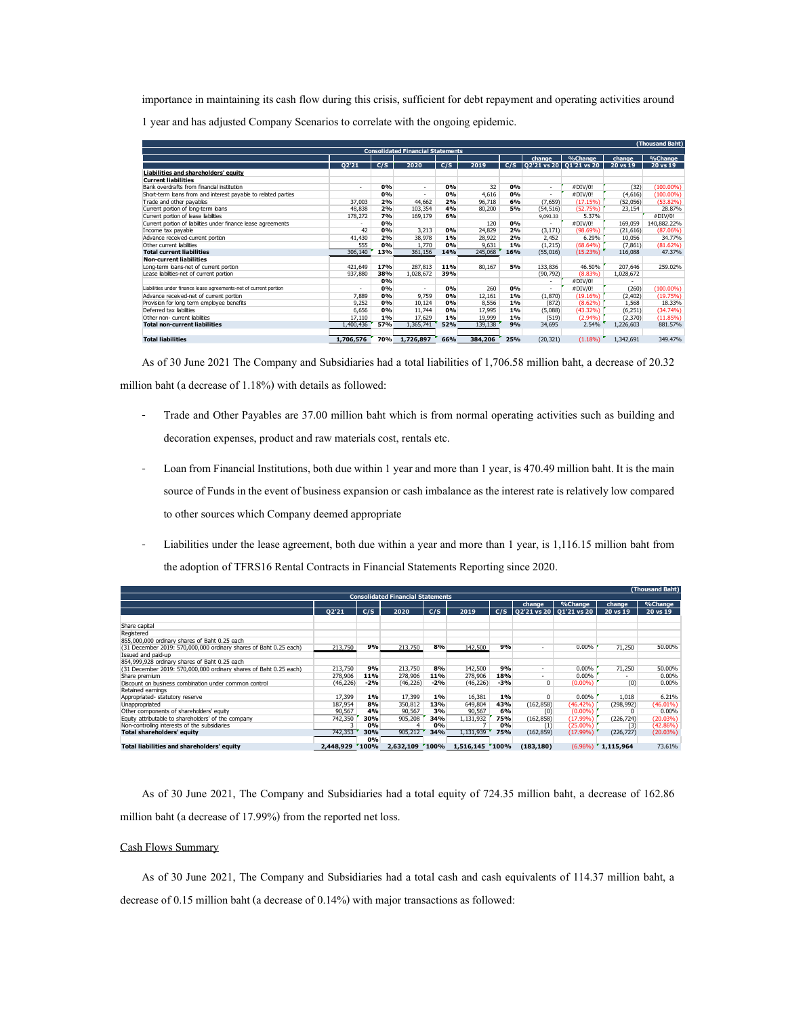| importance in maintaining its cash flow during this crisis, sufficient for debt repayment and operating activities around                     |                          |           |                                          |           |                   |           |                       |                                        |                               |                              |
|-----------------------------------------------------------------------------------------------------------------------------------------------|--------------------------|-----------|------------------------------------------|-----------|-------------------|-----------|-----------------------|----------------------------------------|-------------------------------|------------------------------|
| 1 year and has adjusted Company Scenarios to correlate with the ongoing epidemic.                                                             |                          |           |                                          |           |                   |           |                       |                                        |                               |                              |
|                                                                                                                                               |                          |           |                                          |           |                   |           |                       |                                        |                               |                              |
|                                                                                                                                               |                          |           | <b>Consolidated Financial Statements</b> |           |                   |           |                       |                                        |                               | (Thousand Baht)              |
|                                                                                                                                               | Q2'21                    | C/S       | 2020                                     | C/S       | 2019              | C/S       | change                | %Change<br>  Q2'21 vs 20   Q1'21 vs 20 | change<br>$20 \text{ vs } 19$ | %Change<br>20 vs 19          |
| Liabilities and shareholders' equity<br><b>Current liabilities</b>                                                                            |                          |           |                                          |           |                   |           |                       |                                        |                               |                              |
| Bank overdrafts from financial institution                                                                                                    | $\overline{\phantom{a}}$ | 0%<br>0%  | $\sim$<br>$\sim$                         | 0%<br>0%  | 32<br>4,616       | 0%<br>0%  | $\sim$<br>$\sim$      | #DIV/0!<br>#DIV/0!                     | (32)<br>(4,616)               | $(100.00\%)$<br>$(100.00\%)$ |
| Short-term bans from and interest payable to related parties                                                                                  |                          | 2%        | 44,662                                   | 2%        | 96,718            | 6%        | (7,659)               | (17.15%                                | (52,056)                      | (53.82%)                     |
|                                                                                                                                               | 37,003                   |           | 103,354<br>169,179                       | 4%<br>6%  | 80,200            | 5%        | (54, 516)<br>9,093.33 | (52.75%)<br>5.37%                      | 23,154                        | 28.87%<br>#DIV/0!            |
| Trade and other payables<br>Current portion of long-term loans<br>Current portion of lease liabilities                                        | 48,838<br>178,272        | 2%<br>7%  |                                          |           |                   |           | $\sim$                | #DIV/0!                                | 169,059<br>(21, 616)          | 140,882.22%                  |
|                                                                                                                                               | 42                       | 0%<br>0%  | 3,213                                    | 0%        | 120<br>24,829     | 0%<br>2%  |                       | (98.69%                                |                               | (87.06%)                     |
| Current portion of liabilities under finance lease agreements<br>Income tax payable<br>Advance received-current portion                       | 41,430                   | 2%        | 38,978                                   | $1\%$     | 28,922            | 2%        | (3, 171)<br>2,452     | 6.29%                                  | 10,056                        | 34.77%                       |
| Other current liabilities<br><b>Total current liabilities</b>                                                                                 | 555<br>306,140           | 0%<br>13% | 1,770<br>361,156                         | 0%<br>14% | 9,631<br>245,068  | 1%<br>16% | (1, 215)<br>(55, 016) | (68.64%)<br>(15.23%)                   | (7, 861)<br>116,088           | (81.62%)<br>47.37%           |
| <b>Non-current liabilities</b><br>Long-term loans-net of current portion                                                                      | 421,649                  | 17%       | 287,813                                  | 11%       | 80,167            | 5%        | 133,836               | 46.50%                                 | 207,646                       | 259.02%                      |
| Lease liabilities-net of current portion                                                                                                      | 937,880                  | 38%<br>0% | 1,028,672                                | 39%       |                   |           | (90, 792)             | (8.83%                                 | 1,028,672                     |                              |
| Liabilities under finance lease agreements-net of current portion                                                                             |                          | 0%        |                                          | 0%        | 260               | 0%        | $\sim$<br>$\sim$      | #DIV/0!<br>#DIV/0!                     | (260)                         | $(100.00\%)$                 |
| Advance received-net of current portion                                                                                                       | 7,889<br>9,252           | 0%<br>0%  | 9,759<br>10,124                          | 0%<br>0%  | 12,161<br>8,556   | 1%<br>1%  | (1,870)<br>(872)      | (19.16%)<br>(8.62%)                    | (2, 402)<br>1,568             | (19.75%)<br>18.33%           |
|                                                                                                                                               | 6,656                    | 0%        | 11,744                                   | 0%        | 17,995            | 1%        | (5,088)               | (43.32%)                               | (6, 251)                      | (34.74%)                     |
| Provision for long term employee benefits<br>Deferred tax labilities<br>Other non- current labilities<br><b>Total non-current liabilities</b> | 17,110<br>1,400,436      | 1%<br>57% | 17,629<br>1,365,741                      | 1%<br>52% | 19,999<br>139,138 | 1%<br>9%  | (519)<br>34,695       | (2.94%)<br>2.54%                       | (2, 370)<br>1,226,603         | (11.85%)<br>881.57%          |

- Trade and Other Payables are 37.00 million baht which is from normal operating activities such as building and decoration expenses, product and raw materials cost, rentals etc.
- Loan from Financial Institutions, both due within 1 year and more than 1 year, is 470.49 million baht. It is the main source of Funds in the event of business expansion or cash imbalance as the interest rate is relatively low compared to other sources which Company deemed appropriate
- Liabilities under the lease agreement, both due within a year and more than 1 year, is 1,116.15 million baht from the adoption of TFRS16 Rental Contracts in Financial Statements Reporting since 2020.

| 421,649<br>17%<br>287,813<br>80,167<br>5%<br>133,836<br>46.50%<br>11%<br>Long-term loans-net of current portion<br>937,880<br>1,028,672<br>39%<br>(90, 792)<br>(8.83%)<br>1,028,672<br>Lease liabilities-net of current portion<br>38%<br>#DIV/0!<br>0%<br>$\sim$<br>$\sim$<br>0%<br>0%<br>0%<br>#DIV/0!<br>(260)<br>Liabilities under finance lease agreements-net of current portion<br>260<br>$\sim$<br>$\sim$<br>$\sim$<br>7,889<br>0%<br>9,759<br>0%<br>12,161<br>$1\%$<br>(1,870)<br>(19.16%)<br>(2, 402)<br>Advance received-net of current portion<br>1,568<br>10,124<br>(872)<br>9,252<br>0%<br>0%<br>8,556<br>1%<br>(8.62%)<br>Provision for long term employee benefits<br>(6, 251)<br>6,656<br>0%<br>11,744<br>0%<br>17,995<br>$1\%$<br>(5,088)<br>(43.32%)<br>Deferred tax labilties<br>1%<br>17,629<br>1%<br>19,999<br>1%<br>$(2.94\%)$<br>(2, 370)<br>Other non- current labilities<br>17,110<br>(519)<br>1,365,741<br>9%<br>2.54%<br>1,400,436<br>52%<br>139,138<br>34,695<br>1,226,603<br><b>Total non-current liabilities</b><br>57%<br><b>Total liabilities</b><br>70% 1,726,897<br>384,206 25%<br>(20, 321)<br>$(1.18\%)$<br>1,342,691<br>1,706,576<br>66%<br>As of 30 June 2021 The Company and Subsidiaries had a total liabilities of 1,706.58 million baht, a decrease of 20.32<br>million baht (a decrease of 1.18%) with details as followed:<br>Trade and Other Payables are 37.00 million baht which is from normal operating activities such as building and<br>$\overline{\phantom{a}}$<br>decoration expenses, product and raw materials cost, rentals etc.<br>Loan from Financial Institutions, both due within 1 year and more than 1 year, is 470.49 million baht. It is the main<br>source of Funds in the event of business expansion or cash imbalance as the interest rate is relatively low compared<br>to other sources which Company deemed appropriate<br>Liabilities under the lease agreement, both due within a year and more than 1 year, is 1,116.15 million baht from<br>the adoption of TFRS16 Rental Contracts in Financial Statements Reporting since 2020. | $(100.00\%)$<br>(19.75%)<br>18.33%<br>(34.74%)<br>(11.85%)<br>881.57%<br>349.47%<br>(Thousand Baht) | Non-current liabilities                                           |                                           |                |     |         |          |                |            |            |          |
|----------------------------------------------------------------------------------------------------------------------------------------------------------------------------------------------------------------------------------------------------------------------------------------------------------------------------------------------------------------------------------------------------------------------------------------------------------------------------------------------------------------------------------------------------------------------------------------------------------------------------------------------------------------------------------------------------------------------------------------------------------------------------------------------------------------------------------------------------------------------------------------------------------------------------------------------------------------------------------------------------------------------------------------------------------------------------------------------------------------------------------------------------------------------------------------------------------------------------------------------------------------------------------------------------------------------------------------------------------------------------------------------------------------------------------------------------------------------------------------------------------------------------------------------------------------------------------------------------------------------------------------------------------------------------------------------------------------------------------------------------------------------------------------------------------------------------------------------------------------------------------------------------------------------------------------------------------------------------------------------------------------------------------------------------------------------------------------------------------------|-----------------------------------------------------------------------------------------------------|-------------------------------------------------------------------|-------------------------------------------|----------------|-----|---------|----------|----------------|------------|------------|----------|
|                                                                                                                                                                                                                                                                                                                                                                                                                                                                                                                                                                                                                                                                                                                                                                                                                                                                                                                                                                                                                                                                                                                                                                                                                                                                                                                                                                                                                                                                                                                                                                                                                                                                                                                                                                                                                                                                                                                                                                                                                                                                                                                |                                                                                                     |                                                                   |                                           |                |     |         |          |                |            | 207,646    | 259.02%  |
|                                                                                                                                                                                                                                                                                                                                                                                                                                                                                                                                                                                                                                                                                                                                                                                                                                                                                                                                                                                                                                                                                                                                                                                                                                                                                                                                                                                                                                                                                                                                                                                                                                                                                                                                                                                                                                                                                                                                                                                                                                                                                                                |                                                                                                     |                                                                   |                                           |                |     |         |          |                |            |            |          |
|                                                                                                                                                                                                                                                                                                                                                                                                                                                                                                                                                                                                                                                                                                                                                                                                                                                                                                                                                                                                                                                                                                                                                                                                                                                                                                                                                                                                                                                                                                                                                                                                                                                                                                                                                                                                                                                                                                                                                                                                                                                                                                                |                                                                                                     |                                                                   |                                           |                |     |         |          |                |            |            |          |
|                                                                                                                                                                                                                                                                                                                                                                                                                                                                                                                                                                                                                                                                                                                                                                                                                                                                                                                                                                                                                                                                                                                                                                                                                                                                                                                                                                                                                                                                                                                                                                                                                                                                                                                                                                                                                                                                                                                                                                                                                                                                                                                |                                                                                                     |                                                                   |                                           |                |     |         |          |                |            |            |          |
|                                                                                                                                                                                                                                                                                                                                                                                                                                                                                                                                                                                                                                                                                                                                                                                                                                                                                                                                                                                                                                                                                                                                                                                                                                                                                                                                                                                                                                                                                                                                                                                                                                                                                                                                                                                                                                                                                                                                                                                                                                                                                                                |                                                                                                     |                                                                   |                                           |                |     |         |          |                |            |            |          |
|                                                                                                                                                                                                                                                                                                                                                                                                                                                                                                                                                                                                                                                                                                                                                                                                                                                                                                                                                                                                                                                                                                                                                                                                                                                                                                                                                                                                                                                                                                                                                                                                                                                                                                                                                                                                                                                                                                                                                                                                                                                                                                                |                                                                                                     |                                                                   |                                           |                |     |         |          |                |            |            |          |
|                                                                                                                                                                                                                                                                                                                                                                                                                                                                                                                                                                                                                                                                                                                                                                                                                                                                                                                                                                                                                                                                                                                                                                                                                                                                                                                                                                                                                                                                                                                                                                                                                                                                                                                                                                                                                                                                                                                                                                                                                                                                                                                |                                                                                                     |                                                                   |                                           |                |     |         |          |                |            |            |          |
|                                                                                                                                                                                                                                                                                                                                                                                                                                                                                                                                                                                                                                                                                                                                                                                                                                                                                                                                                                                                                                                                                                                                                                                                                                                                                                                                                                                                                                                                                                                                                                                                                                                                                                                                                                                                                                                                                                                                                                                                                                                                                                                |                                                                                                     |                                                                   |                                           |                |     |         |          |                |            |            |          |
|                                                                                                                                                                                                                                                                                                                                                                                                                                                                                                                                                                                                                                                                                                                                                                                                                                                                                                                                                                                                                                                                                                                                                                                                                                                                                                                                                                                                                                                                                                                                                                                                                                                                                                                                                                                                                                                                                                                                                                                                                                                                                                                |                                                                                                     |                                                                   |                                           |                |     |         |          |                |            |            |          |
|                                                                                                                                                                                                                                                                                                                                                                                                                                                                                                                                                                                                                                                                                                                                                                                                                                                                                                                                                                                                                                                                                                                                                                                                                                                                                                                                                                                                                                                                                                                                                                                                                                                                                                                                                                                                                                                                                                                                                                                                                                                                                                                |                                                                                                     |                                                                   |                                           |                |     |         |          |                |            |            |          |
|                                                                                                                                                                                                                                                                                                                                                                                                                                                                                                                                                                                                                                                                                                                                                                                                                                                                                                                                                                                                                                                                                                                                                                                                                                                                                                                                                                                                                                                                                                                                                                                                                                                                                                                                                                                                                                                                                                                                                                                                                                                                                                                |                                                                                                     |                                                                   |                                           |                |     |         |          |                |            |            |          |
|                                                                                                                                                                                                                                                                                                                                                                                                                                                                                                                                                                                                                                                                                                                                                                                                                                                                                                                                                                                                                                                                                                                                                                                                                                                                                                                                                                                                                                                                                                                                                                                                                                                                                                                                                                                                                                                                                                                                                                                                                                                                                                                |                                                                                                     |                                                                   |                                           |                |     |         |          |                |            |            |          |
|                                                                                                                                                                                                                                                                                                                                                                                                                                                                                                                                                                                                                                                                                                                                                                                                                                                                                                                                                                                                                                                                                                                                                                                                                                                                                                                                                                                                                                                                                                                                                                                                                                                                                                                                                                                                                                                                                                                                                                                                                                                                                                                |                                                                                                     |                                                                   |                                           |                |     |         |          |                |            |            |          |
| <b>Consolidated Financial Statements</b>                                                                                                                                                                                                                                                                                                                                                                                                                                                                                                                                                                                                                                                                                                                                                                                                                                                                                                                                                                                                                                                                                                                                                                                                                                                                                                                                                                                                                                                                                                                                                                                                                                                                                                                                                                                                                                                                                                                                                                                                                                                                       |                                                                                                     |                                                                   |                                           |                |     |         |          |                |            |            |          |
| change<br>%Change<br>change<br>%Change                                                                                                                                                                                                                                                                                                                                                                                                                                                                                                                                                                                                                                                                                                                                                                                                                                                                                                                                                                                                                                                                                                                                                                                                                                                                                                                                                                                                                                                                                                                                                                                                                                                                                                                                                                                                                                                                                                                                                                                                                                                                         |                                                                                                     |                                                                   |                                           |                |     |         |          |                |            |            |          |
| 02'21<br>2020<br>C/S<br>2019<br>C/S<br>  02'21 vs 20   01'21 vs 20<br>20 vs 19<br>20 vs 19<br>C/S                                                                                                                                                                                                                                                                                                                                                                                                                                                                                                                                                                                                                                                                                                                                                                                                                                                                                                                                                                                                                                                                                                                                                                                                                                                                                                                                                                                                                                                                                                                                                                                                                                                                                                                                                                                                                                                                                                                                                                                                              |                                                                                                     | Share capita                                                      |                                           |                |     |         |          |                |            |            |          |
|                                                                                                                                                                                                                                                                                                                                                                                                                                                                                                                                                                                                                                                                                                                                                                                                                                                                                                                                                                                                                                                                                                                                                                                                                                                                                                                                                                                                                                                                                                                                                                                                                                                                                                                                                                                                                                                                                                                                                                                                                                                                                                                |                                                                                                     | Registered                                                        |                                           |                |     |         |          |                |            |            |          |
|                                                                                                                                                                                                                                                                                                                                                                                                                                                                                                                                                                                                                                                                                                                                                                                                                                                                                                                                                                                                                                                                                                                                                                                                                                                                                                                                                                                                                                                                                                                                                                                                                                                                                                                                                                                                                                                                                                                                                                                                                                                                                                                |                                                                                                     | 855,000,000 ordinary shares of Baht 0.25 each                     |                                           |                |     |         |          |                |            |            |          |
|                                                                                                                                                                                                                                                                                                                                                                                                                                                                                                                                                                                                                                                                                                                                                                                                                                                                                                                                                                                                                                                                                                                                                                                                                                                                                                                                                                                                                                                                                                                                                                                                                                                                                                                                                                                                                                                                                                                                                                                                                                                                                                                |                                                                                                     | (31 December 2019: 570,000,000 ordinary shares of Baht 0.25 each) | 213.750                                   | 213,750        | 8%  | 142,500 | 9%       | $\sim$         | 0.00%      | 71,250     | 50.00%   |
| 9%                                                                                                                                                                                                                                                                                                                                                                                                                                                                                                                                                                                                                                                                                                                                                                                                                                                                                                                                                                                                                                                                                                                                                                                                                                                                                                                                                                                                                                                                                                                                                                                                                                                                                                                                                                                                                                                                                                                                                                                                                                                                                                             |                                                                                                     | Issued and paid-up                                                |                                           |                |     |         |          |                |            |            |          |
|                                                                                                                                                                                                                                                                                                                                                                                                                                                                                                                                                                                                                                                                                                                                                                                                                                                                                                                                                                                                                                                                                                                                                                                                                                                                                                                                                                                                                                                                                                                                                                                                                                                                                                                                                                                                                                                                                                                                                                                                                                                                                                                |                                                                                                     | 854,999,928 ordinary shares of Baht 0.25 each                     |                                           |                |     |         |          |                |            |            |          |
|                                                                                                                                                                                                                                                                                                                                                                                                                                                                                                                                                                                                                                                                                                                                                                                                                                                                                                                                                                                                                                                                                                                                                                                                                                                                                                                                                                                                                                                                                                                                                                                                                                                                                                                                                                                                                                                                                                                                                                                                                                                                                                                |                                                                                                     | (31 December 2019: 570,000,000 ordinary shares of Baht 0.25 each) | 213,750                                   | 213,750        | 8%  |         | 9%       | $\sim$         | $0.00\%$   | 71,250     | 50.00%   |
| 9%<br>142,500                                                                                                                                                                                                                                                                                                                                                                                                                                                                                                                                                                                                                                                                                                                                                                                                                                                                                                                                                                                                                                                                                                                                                                                                                                                                                                                                                                                                                                                                                                                                                                                                                                                                                                                                                                                                                                                                                                                                                                                                                                                                                                  |                                                                                                     | Share premium                                                     | 278,906                                   |                | 11% |         | 18%      | $\sim$         | $0.00\%$   |            | 0.00%    |
| 11%<br>278,906<br>278,906                                                                                                                                                                                                                                                                                                                                                                                                                                                                                                                                                                                                                                                                                                                                                                                                                                                                                                                                                                                                                                                                                                                                                                                                                                                                                                                                                                                                                                                                                                                                                                                                                                                                                                                                                                                                                                                                                                                                                                                                                                                                                      |                                                                                                     | Discount on business combination under common contro              |                                           |                |     |         |          |                |            |            |          |
| (46, 226)<br>(46, 226)<br>$-2%$<br>(46, 226)<br>$-3%$<br>$\overline{0}$<br>$(0.00\%)$<br>(0)<br>0.00%<br>$-2%$                                                                                                                                                                                                                                                                                                                                                                                                                                                                                                                                                                                                                                                                                                                                                                                                                                                                                                                                                                                                                                                                                                                                                                                                                                                                                                                                                                                                                                                                                                                                                                                                                                                                                                                                                                                                                                                                                                                                                                                                 |                                                                                                     | Retained earnings                                                 |                                           |                |     |         |          |                |            |            |          |
|                                                                                                                                                                                                                                                                                                                                                                                                                                                                                                                                                                                                                                                                                                                                                                                                                                                                                                                                                                                                                                                                                                                                                                                                                                                                                                                                                                                                                                                                                                                                                                                                                                                                                                                                                                                                                                                                                                                                                                                                                                                                                                                |                                                                                                     | Appropriated- statutory reserve                                   | 17,399                                    | 17,399         | 1%  | 16,381  | 1%       | $\overline{0}$ | 0.00%      | 1,018      | 6.21%    |
| 1%                                                                                                                                                                                                                                                                                                                                                                                                                                                                                                                                                                                                                                                                                                                                                                                                                                                                                                                                                                                                                                                                                                                                                                                                                                                                                                                                                                                                                                                                                                                                                                                                                                                                                                                                                                                                                                                                                                                                                                                                                                                                                                             |                                                                                                     | Unappropriated                                                    |                                           |                |     |         |          |                |            |            |          |
| 187,954<br>13%<br>649,804<br>43%<br>(162, 858)<br>8%<br>350,812<br>(46.42%)<br>(298, 992)<br>$(46.01\%)$                                                                                                                                                                                                                                                                                                                                                                                                                                                                                                                                                                                                                                                                                                                                                                                                                                                                                                                                                                                                                                                                                                                                                                                                                                                                                                                                                                                                                                                                                                                                                                                                                                                                                                                                                                                                                                                                                                                                                                                                       |                                                                                                     |                                                                   |                                           |                |     |         |          |                |            |            |          |
| 90,567<br>90,567<br>4%<br>90,567<br>3%<br>6%<br>$(0.00\%$<br>0.00%<br>Other components of shareholders' equity<br>(0)                                                                                                                                                                                                                                                                                                                                                                                                                                                                                                                                                                                                                                                                                                                                                                                                                                                                                                                                                                                                                                                                                                                                                                                                                                                                                                                                                                                                                                                                                                                                                                                                                                                                                                                                                                                                                                                                                                                                                                                          |                                                                                                     |                                                                   |                                           |                |     |         |          |                |            |            |          |
| 742,350<br>30%<br>34%<br>1,131,932<br>75%<br>(162, 858)<br>$(17.99\%)$<br>Equity attributable to shareholders' of the company<br>905,208<br>(226, 724)<br>(20.03%)                                                                                                                                                                                                                                                                                                                                                                                                                                                                                                                                                                                                                                                                                                                                                                                                                                                                                                                                                                                                                                                                                                                                                                                                                                                                                                                                                                                                                                                                                                                                                                                                                                                                                                                                                                                                                                                                                                                                             |                                                                                                     | Non-controlling interests of the subsidiaries                     |                                           | $\overline{4}$ |     |         |          |                |            | (3)        |          |
| $(25.00\%$<br>0%<br>0%<br>0%<br>(1)<br>(42.86%)                                                                                                                                                                                                                                                                                                                                                                                                                                                                                                                                                                                                                                                                                                                                                                                                                                                                                                                                                                                                                                                                                                                                                                                                                                                                                                                                                                                                                                                                                                                                                                                                                                                                                                                                                                                                                                                                                                                                                                                                                                                                |                                                                                                     | Total shareholders' equity                                        | 742,353                                   |                | 34% |         | 75%      |                |            | (226, 727) | (20.03%) |
| 1,131,939<br>(17.99%)<br>30%<br>905,212<br>(162, 859)                                                                                                                                                                                                                                                                                                                                                                                                                                                                                                                                                                                                                                                                                                                                                                                                                                                                                                                                                                                                                                                                                                                                                                                                                                                                                                                                                                                                                                                                                                                                                                                                                                                                                                                                                                                                                                                                                                                                                                                                                                                          |                                                                                                     |                                                                   |                                           |                |     |         |          |                |            |            |          |
| 0%                                                                                                                                                                                                                                                                                                                                                                                                                                                                                                                                                                                                                                                                                                                                                                                                                                                                                                                                                                                                                                                                                                                                                                                                                                                                                                                                                                                                                                                                                                                                                                                                                                                                                                                                                                                                                                                                                                                                                                                                                                                                                                             |                                                                                                     | Total liabilities and shareholders' equity                        | 2,448,929 '100% 2,632,109 '100% 1,516,145 |                |     |         | $"100\%$ | (183, 180)     | $(6.96\%)$ | 1,115,964  | 73.61%   |

As of 30 June 2021, The Company and Subsidiaries had a total equity of 724.35 million baht, a decrease of 162.86 million baht (a decrease of 17.99%) from the reported net loss.

# Cash Flows Summary

As of 30 June 2021, The Company and Subsidiaries had a total cash and cash equivalents of 114.37 million baht, a decrease of 0.15 million baht (a decrease of 0.14%) with major transactions as followed: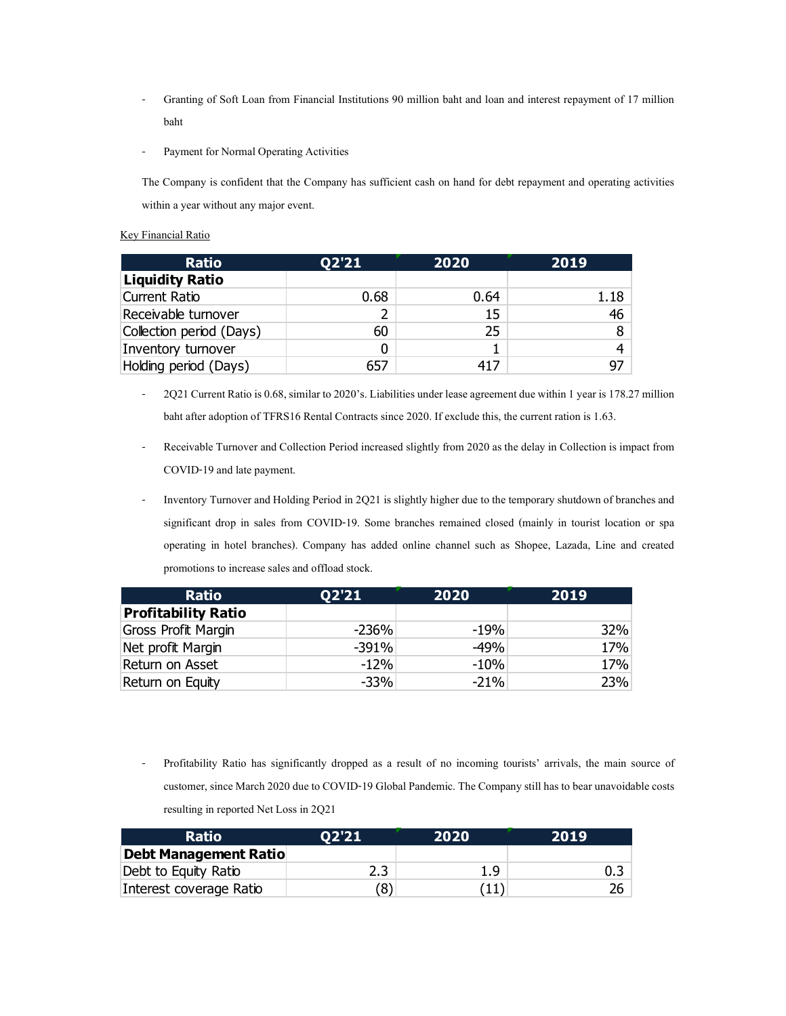- Granting of Soft Loan from Financial Institutions 90 million baht and loan and interest repayment of 17 million baht
- Payment for Normal Operating Activities

# Key Financial Ratio

|                                                                                                                   | Granting of Soft Loan from Financial Institutions 90 million baht and loan and interest repayment of 17 million      |         |        |
|-------------------------------------------------------------------------------------------------------------------|----------------------------------------------------------------------------------------------------------------------|---------|--------|
| baht                                                                                                              |                                                                                                                      |         |        |
| Payment for Normal Operating Activities                                                                           |                                                                                                                      |         |        |
| The Company is confident that the Company has sufficient cash on hand for debt repayment and operating activities |                                                                                                                      |         |        |
| within a year without any major event.                                                                            |                                                                                                                      |         |        |
|                                                                                                                   |                                                                                                                      |         |        |
| <b>Key Financial Ratio</b>                                                                                        |                                                                                                                      |         |        |
| <b>Ratio</b>                                                                                                      | Q2'21                                                                                                                | 2020    | 2019   |
| <b>Liquidity Ratio</b>                                                                                            |                                                                                                                      |         |        |
| <b>Current Ratio</b>                                                                                              | 0.68                                                                                                                 | 0.64    | 1.18   |
| Receivable turnover                                                                                               | 2                                                                                                                    | 15      | 46     |
| Collection period (Days)<br>Inventory turnover                                                                    | 60<br>0                                                                                                              | 25<br>1 | 8<br>4 |
| Holding period (Days)                                                                                             | 657                                                                                                                  | 417     | 97     |
|                                                                                                                   |                                                                                                                      |         |        |
|                                                                                                                   | 2Q21 Current Ratio is 0.68, similar to 2020's. Liabilities under lease agreement due within 1 year is 178.27 million |         |        |
|                                                                                                                   | baht after adoption of TFRS16 Rental Contracts since 2020. If exclude this, the current ration is 1.63.              |         |        |
|                                                                                                                   | Receivable Turnover and Collection Period increased slightly from 2020 as the delay in Collection is impact from     |         |        |
|                                                                                                                   |                                                                                                                      |         |        |
| COVID-19 and late payment.                                                                                        |                                                                                                                      |         |        |
|                                                                                                                   | Inventory Turnover and Holding Period in 2Q21 is slightly higher due to the temporary shutdown of branches and       |         |        |
|                                                                                                                   | significant drop in sales from COVID-19. Some branches remained closed (mainly in tourist location or spa            |         |        |
|                                                                                                                   | operating in hotel branches). Company has added online channel such as Shopee, Lazada, Line and created              |         |        |
| promotions to increase sales and offload stock.                                                                   |                                                                                                                      |         |        |
|                                                                                                                   |                                                                                                                      |         |        |
| <b>Ratio</b><br><b>Profitability Ratio</b>                                                                        | Q2'21                                                                                                                | 2020    | 2019   |
| Gross Profit Margin                                                                                               | $-236%$                                                                                                              | $-19%$  | 32%    |
| Net profit Margin                                                                                                 | $-391%$                                                                                                              | $-49%$  | 17%    |
| Return on Asset                                                                                                   | $-12%$                                                                                                               | $-10%$  | 17%    |

- 2Q21 Current Ratio is 0.68, similar to 2020's. Liabilities under lease agreement due within 1 year is 178.27 million baht after adoption of TFRS16 Rental Contracts since 2020. If exclude this, the current ration is 1.63.
- Receivable Turnover and Collection Period increased slightly from 2020 as the delay in Collection is impact from COVID-19 and late payment.
- Inventory Turnover and Holding Period in 2Q21 is slightly higher due to the temporary shutdown of branches and significant drop in sales from COVID-19. Some branches remained closed (mainly in tourist location or spa operating in hotel branches). Company has added online channel such as Shopee, Lazada, Line and created promotions to increase sales and offload stock.

| <b>Current Ratio</b>                            | 0.68       | 0.64                                                                                                                                                                                                                           | 1.18      |
|-------------------------------------------------|------------|--------------------------------------------------------------------------------------------------------------------------------------------------------------------------------------------------------------------------------|-----------|
| Receivable turnover                             | 2          | 15                                                                                                                                                                                                                             | 46        |
| Collection period (Days)                        | 60         | 25                                                                                                                                                                                                                             | 8         |
| Inventory turnover                              | 0          | $\mathbf{1}$                                                                                                                                                                                                                   | 4         |
| Holding period (Days)                           | 657        | 417                                                                                                                                                                                                                            | 97        |
|                                                 |            | 2Q21 Current Ratio is 0.68, similar to 2020's. Liabilities under lease agreement due within 1 year is 178.27 million                                                                                                           |           |
|                                                 |            | baht after adoption of TFRS16 Rental Contracts since 2020. If exclude this, the current ration is 1.63.                                                                                                                        |           |
|                                                 |            | Receivable Turnover and Collection Period increased slightly from 2020 as the delay in Collection is impact from                                                                                                               |           |
| COVID-19 and late payment.                      |            |                                                                                                                                                                                                                                |           |
|                                                 |            | Inventory Turnover and Holding Period in 2Q21 is slightly higher due to the temporary shutdown of branches and                                                                                                                 |           |
|                                                 |            | significant drop in sales from COVID-19. Some branches remained closed (mainly in tourist location or spa                                                                                                                      |           |
|                                                 |            | operating in hotel branches). Company has added online channel such as Shopee, Lazada, Line and created                                                                                                                        |           |
| promotions to increase sales and offload stock. |            |                                                                                                                                                                                                                                |           |
| <b>Ratio</b>                                    | Q2'21      | 2020                                                                                                                                                                                                                           | 2019      |
| <b>Profitability Ratio</b>                      |            |                                                                                                                                                                                                                                |           |
| Gross Profit Margin                             | $-236%$    | $-19%$                                                                                                                                                                                                                         | 32%       |
| Net profit Margin                               | $-391%$    | $-49%$                                                                                                                                                                                                                         | 17%       |
| Return on Asset                                 | $-12%$     | $-10%$                                                                                                                                                                                                                         | 17%       |
| Return on Equity                                | $-33%$     | $-21%$                                                                                                                                                                                                                         | 23%       |
|                                                 |            |                                                                                                                                                                                                                                |           |
|                                                 |            | Profitability Ratio has significantly dropped as a result of no incoming tourists' arrivals, the main source of<br>customer, since March 2020 due to COVID-19 Global Pandemic. The Company still has to bear unavoidable costs |           |
| resulting in reported Net Loss in 2Q21          |            |                                                                                                                                                                                                                                |           |
| <b>Ratio</b>                                    | Q2'21      | 2020                                                                                                                                                                                                                           | 2019      |
| <b>Debt Management Ratio</b>                    |            |                                                                                                                                                                                                                                |           |
| Debt to Equity Ratio<br>Interest coverage Ratio | 2.3<br>(8) | 1.9<br>(11)                                                                                                                                                                                                                    | 0.3<br>26 |

| <b>Ratio</b>                 | <b>02'21'</b> | 2020 | 2019 |
|------------------------------|---------------|------|------|
| <b>Debt Management Ratio</b> |               |      |      |
| Debt to Equity Ratio         | 2.3           | 1.9  | 0.3  |
| Interest coverage Ratio      | (8)           |      |      |